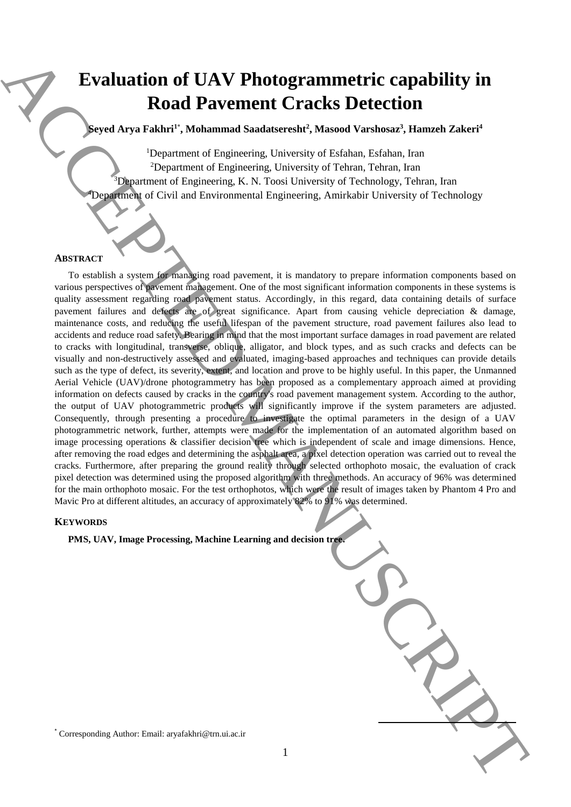# **Evaluation of UAV Photogrammetric capability in Road Pavement Cracks Detection**

**Seyed Arya Fakhri<sup>1</sup>**\* **, Mohammad Saadatseresht<sup>2</sup> , Masood Varshosaz<sup>3</sup> , Hamzeh Zakeri<sup>4</sup>**

<sup>1</sup>Department of Engineering, University of Esfahan, Esfahan, Iran <sup>2</sup>Department of Engineering, University of Tehran, Tehran, Iran <sup>3</sup>Department of Engineering, K. N. Toosi University of Technology, Tehran, Iran <sup>4</sup>Department of Civil and Environmental Engineering, Amirkabir University of Technology

#### **ABSTRACT**

To establish a system for managing road pavement, it is mandatory to prepare information components based on various perspectives of pavement management. One of the most significant information components in these systems is quality assessment regarding road pavement status. Accordingly, in this regard, data containing details of surface pavement failures and defects are of great significance. Apart from causing vehicle depreciation & damage, maintenance costs, and reducing the useful lifespan of the pavement structure, road pavement failures also lead to accidents and reduce road safety. Bearing in mind that the most important surface damages in road pavement are related to cracks with longitudinal, transverse, oblique, alligator, and block types, and as such cracks and defects can be visually and non-destructively assessed and evaluated, imaging-based approaches and techniques can provide details such as the type of defect, its severity, extent, and location and prove to be highly useful. In this paper, the Unmanned Aerial Vehicle (UAV)/drone photogrammetry has been proposed as a complementary approach aimed at providing information on defects caused by cracks in the country's road pavement management system. According to the author, the output of UAV photogrammetric products will significantly improve if the system parameters are adjusted. Consequently, through presenting a procedure to investigate the optimal parameters in the design of a UAV photogrammetric network, further, attempts were made for the implementation of an automated algorithm based on image processing operations & classifier decision tree which is independent of scale and image dimensions. Hence, after removing the road edges and determining the asphalt area, a pixel detection operation was carried out to reveal the cracks. Furthermore, after preparing the ground reality through selected orthophoto mosaic, the evaluation of crack pixel detection was determined using the proposed algorithm with three methods. An accuracy of 96% was determined for the main orthophoto mosaic. For the test orthophotos, which were the result of images taken by Phantom 4 Pro and Mavic Pro at different altitudes, an accuracy of approximately 82% to 91% was determined. Evaluation of UAV Photogrammetric capability in<br>Road Payement Cracks Detection<br>
Space Arya Fakhri<sup>m</sup> Mahammet Samkason, Userany, Mahammet Schutz are also as a strainer of the space of the space of the space of the space o

#### **KEYWORDS**

**PMS, UAV, Image Processing, Machine Learning and decision tree.**

**.**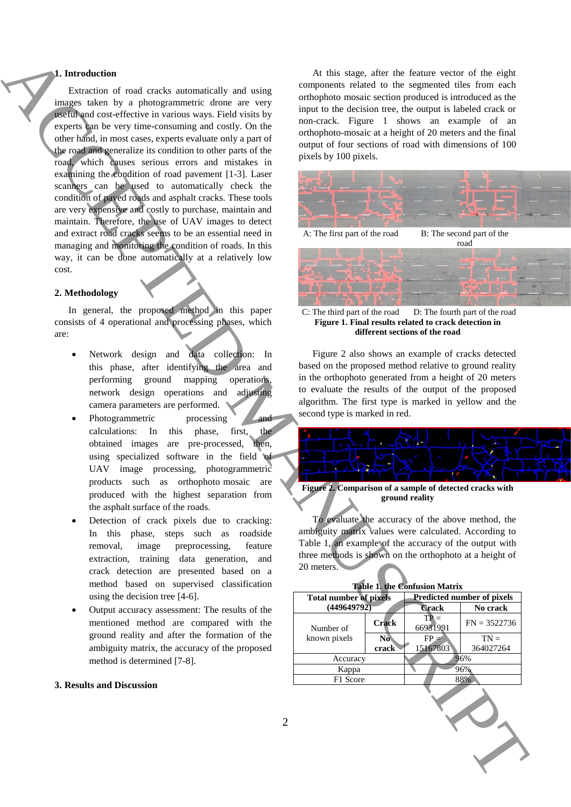# **1. Introduction**

Extraction of road cracks automatically and using images taken by a photogrammetric drone are very useful and cost-effective in various ways. Field visits by experts can be very time-consuming and costly. On the other hand, in most cases, experts evaluate only a part of the road and generalize its condition to other parts of the road, which causes serious errors and mistakes in examining the condition of road pavement [1-3]. Laser scanners can be used to automatically check the condition of paved roads and asphalt cracks. These tools are very expensive and costly to purchase, maintain and maintain. Therefore, the use of UAV images to detect and extract road cracks seems to be an essential need in managing and monitoring the condition of roads. In this way, it can be done automatically at a relatively low cost. **FROM CONTRACT CONTRACT CONTRACT CONTRACT CONTRACT CONTRACT CONTRACT CONTRACT CONTRACT CONTRACT CONTRACT CONTRACT CONTRACT CONTRACT CONTRACT CONTRACT CONTRACT CONTRACT CONTRACT CONTRACT CONTRACT CONTRACT CONTRACT CONTRACT** 

### **2. Methodology**

In general, the proposed method in this paper consists of 4 operational and processing phases, which are:

- Network design and data collection: In this phase, after identifying the area and performing ground mapping operations, network design operations and adjusting camera parameters are performed.
- Photogrammetric processing and calculations: In this phase, first, the obtained images are pre-processed, then, using specialized software in the field of UAV image processing, photogrammetric products such as orthophoto mosaic are produced with the highest separation from the asphalt surface of the roads.
- Detection of crack pixels due to cracking: In this phase, steps such as roadside removal, image preprocessing, feature extraction, training data generation, and crack detection are presented based on a method based on supervised classification using the decision tree [4-6].
- Output accuracy assessment: The results of the mentioned method are compared with the ground reality and after the formation of the ambiguity matrix, the accuracy of the proposed method is determined [7-8].

### **3. Results and Discussion**

At this stage, after the feature vector of the eight components related to the segmented tiles from each orthophoto mosaic section produced is introduced as the input to the decision tree, the output is labeled crack or non-crack. Figure 1 shows an example of an orthophoto-mosaic at a height of 20 meters and the final output of four sections of road with dimensions of 100 pixels by 100 pixels.



C: The third part of the road D: The fourth part of the road **Figure 1. Final results related to crack detection in different sections of the road**

Figure 2 also shows an example of cracks detected based on the proposed method relative to ground reality in the orthophoto generated from a height of 20 meters to evaluate the results of the output of the proposed algorithm. The first type is marked in yellow and the second type is marked in red.



**ground reality**

To evaluate the accuracy of the above method, the ambiguity matrix values were calculated. According to Table 1, an example of the accuracy of the output with three methods is shown on the orthophoto at a height of 20 meters.

| <b>Table 1. the Confusion Matrix</b>         |                |                                   |                |
|----------------------------------------------|----------------|-----------------------------------|----------------|
| <b>Total number of pixels</b><br>(449649792) |                | <b>Predicted number of pixels</b> |                |
|                                              |                | <b>Crack</b>                      | No crack       |
| Number of<br>known pixels                    | <b>Crack</b>   | $TP =$<br>66931991                | $FN = 3522736$ |
|                                              | N <sub>0</sub> | $FP =$                            | $TN =$         |
|                                              | crack          | 15167803                          | 364027264      |
| Accuracy                                     |                | 96%                               |                |
| Kappa                                        |                | 96%                               |                |
| F1 Score                                     |                | 88%                               |                |
|                                              |                |                                   |                |